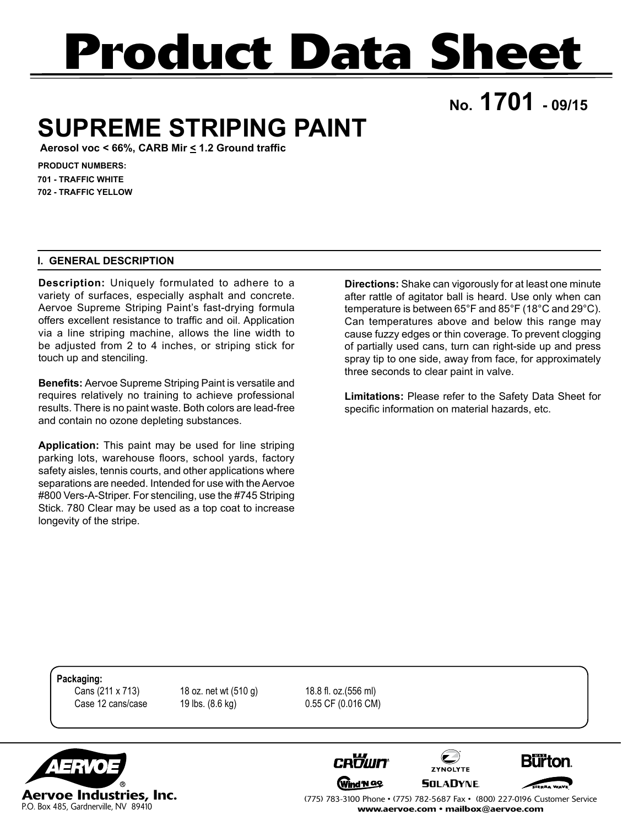# **Product Data Sheet**

**No. 1701 - 09/15**

## **SUPREME STRIPING PAINT**

**Aerosol voc < 66%, CARB Mir < 1.2 Ground traffic**

**PRODUCT NUMBERS: 701 - TRAFFIC WHITE 702 - TRAFFIC YELLOW**

### **I. GENERAL DESCRIPTION**

**Description:** Uniquely formulated to adhere to a variety of surfaces, especially asphalt and concrete. Aervoe Supreme Striping Paint's fast-drying formula offers excellent resistance to traffic and oil. Application via a line striping machine, allows the line width to be adjusted from 2 to 4 inches, or striping stick for touch up and stenciling.

**Benefits:** Aervoe Supreme Striping Paint is versatile and requires relatively no training to achieve professional results. There is no paint waste. Both colors are lead-free and contain no ozone depleting substances.

**Application:** This paint may be used for line striping parking lots, warehouse floors, school yards, factory safety aisles, tennis courts, and other applications where separations are needed. Intended for use with the Aervoe #800 Vers-A-Striper. For stenciling, use the #745 Striping Stick. 780 Clear may be used as a top coat to increase longevity of the stripe.

**Directions:** Shake can vigorously for at least one minute after rattle of agitator ball is heard. Use only when can temperature is between 65°F and 85°F (18°C and 29°C). Can temperatures above and below this range may cause fuzzy edges or thin coverage. To prevent clogging of partially used cans, turn can right-side up and press spray tip to one side, away from face, for approximately three seconds to clear paint in valve.

**Limitations:** Please refer to the Safety Data Sheet for specific information on material hazards, etc.

**Packaging:**

 Cans (211 x 713) 18 oz. net wt (510 g) 18.8 fl. oz.(556 ml) Case 12 cans/case 19 lbs. (8.6 kg) 0.55 CF (0.016 CM)









(775) 783-3100 Phone • (775) 782-5687 Fax • (800) 227-0196 Customer Service www.aervoe.com • mailbox@aervoe.com

**ZYNOLYTE**